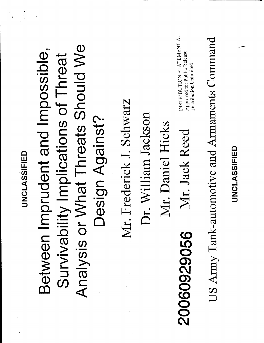US Army Tank-automotive and Armaments Command

DISTRIBUTION STATEMENT A: Approved for Public Release Distribution Unlimited

Mr. Daniel Hicks

20060929056

Dr. William Jackson

Mr. Frederick J. Schwarz

Mr. Jack Reed

Analysis or What Threats Should We Between Imprudent and Impossible, Survivability Implications of Threat Design Against?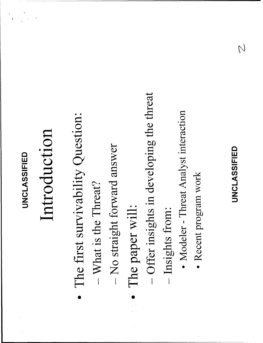## Introduction

- The first survivability Question:
- What is the Threat?
- No straight forward answer
- The paper will:
- Offer insights in developing the threat
- Insights from:
- Modeler Threat Analyst interaction
- · Recent program work

#### UNCLASSIFIED

 $\overline{\mathcal{C}}$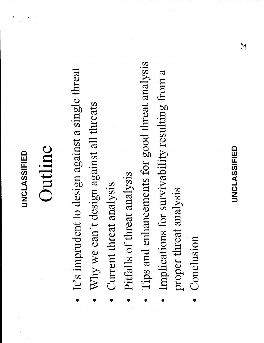### Outline

- It's imprudent to design against a single threat
- Why we can't design against all threats
- Current threat analysis
- Pitfalls of threat analysis
- Tips and enhancements for good threat analysis
- Implications for survivability resulting from a proper threat analysis
- Conclusion

#### **UNCLASSIFIED**

 $\overline{M}$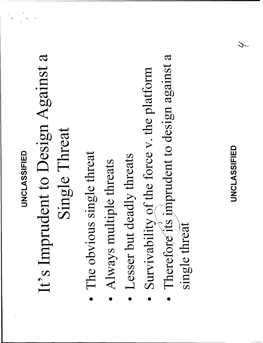## It's Imprudent to Design Against a Single Threat

- The obvious single threat
- Always multiple threats
- · Lesser but deadly threats
- Survivability of the force v. the platform
- Therefore its imprudent to design against a single threat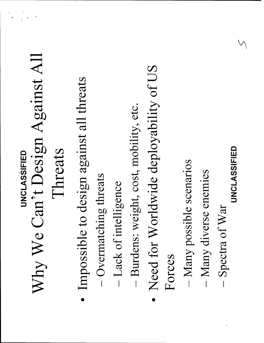## Why We Can't Design Against All Threats **UNCLASSIFIED**

- Impossible to design against all threats
- Overmatching threats
- Lack of intelligence
- Burdens: weight, cost, mobility, etc.
- Need for Worldwide deployability of US Forces
- Many possible scenarios
- Many diverse enemies
- Spectra of War  $\overline{1}$
- UNCLASSIFIED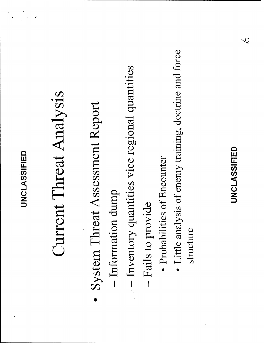$\overline{\mathcal{L}}$ 

#### structure

- Little analysis of enemy training, doctrine and force
- · Probabilities of Encounter
- 
- 

Fails to provide

- Inventory quantities vice regional quantities

System Threat Assessment Report

- Information dump

Current Threat Analysis

- 
- 
- 
- 
- 
- 
- 
-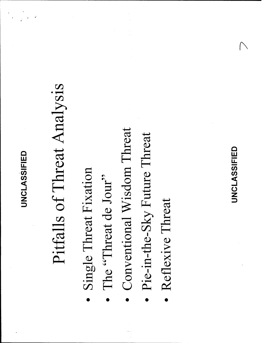# Pitfalls of Threat Analysis

- Single Threat Fixation
- The "Threat de Jour"
- Conventional Wisdom Threat
- Pie-in-the-Sky Future Threat
- Reflexive Threat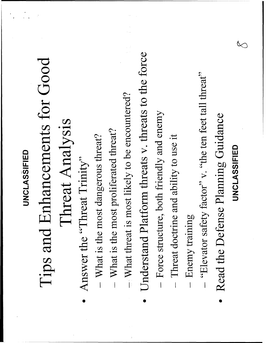# Tips and Enhancements for Good

## Threat Analysis

- Answer the "Threat Trinity"
- What is the most dangerous threat?
- What is the most proliferated threat?  $\overline{1}$
- $-$  What threat is most likely to be encountered?
- Understand Platform threats v. threats to the force
- Force structure, both friendly and enemy
- Threat doctrine and ability to use it  $\overline{\phantom{a}}$
- Enemy training  $\overline{\phantom{a}}$
- "Elevator safety factor" v. "the ten feet tall threat"  $\overline{1}$
- Read the Defense Planning Guidance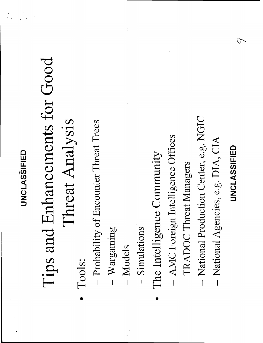## Tips and Enhancements for Good Threat Analysis

- Tools:
- Probability of Encounter Threat Trees
- $-$  Wargaming
- Models
- Simulations
- The Intelligence Community
- AMC Foreign Intelligence Offices
- TRADOC Threat Managers
- National Production Center, e.g. NGIC
- National Agencies, e.g. DIA, CIA
- UNCLASSIFIED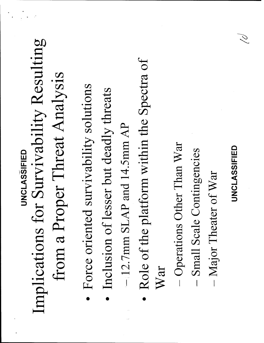## Implications for Survivability Resulting from a Proper Threat Analysis UNCLASSIFIED

- · Force oriented survivability solutions
- Inclusion of lesser but deadly threats
- $-12.7$ mm SLAP and 14.5mm AP
- Role of the platform within the Spectra of War
- Operations Other Than War
- **Small Scale Contingencies**
- Major Theater of War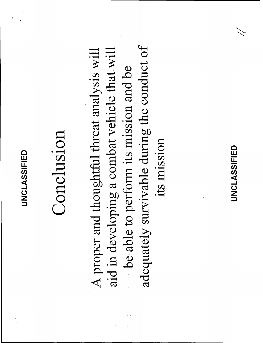## Conclusion

adequately survivable during the conduct of A proper and thoughtful threat analysis will aid in developing a combat vehicle that will be able to perform its mission and be its mission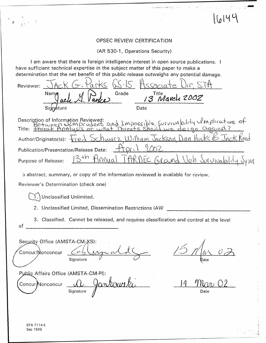#### OPSEC REVIEW CERTIFICATION

16144

(AR 530-1, Operations Security)

I am aware that there is foreign intelligence interest in open source publications. I have sufficient technical expertise in the subject matter of this paper to make a determination that the net benefit of this public release outweighs any potential damage.

| arks<br>Reviewer:                                                                                                         |  |
|---------------------------------------------------------------------------------------------------------------------------|--|
| Grade<br>Nama<br>Title Navel 2002                                                                                         |  |
| Signature<br>Date                                                                                                         |  |
| Description of Information Reviewed:<br>Between Lmprudent and Impossible, Survivability Umplications of                   |  |
| chwarz William Jackson Dan Hicks & JAc<br>Author/Originator(s):<br>$\overline{Q}$                                         |  |
| 202<br>$\mathcal{N} \setminus$<br>Publication/Presentation/Release Date:                                                  |  |
| $3+n$<br>Annuo<br>EC Ground Veh Jururability S<br>Purpose of Release:                                                     |  |
| ) abstract, summary, or copy of the information reviewed is available for review.<br>Reviewer's Determination (check one) |  |
|                                                                                                                           |  |
| Unclassified Unlimited.                                                                                                   |  |
| 2. Unclassified Limited, Dissemination Restrictions IAW                                                                   |  |
| 3. Classified. Cannot be released, and requires classification and control at the level<br>of                             |  |
| Security Office (AMSTA-CM-XS):<br>Concur/Monconcur<br>Signature<br>Date                                                   |  |
| Public Affairs Office (AMSTA-CM-PI):<br>inkourski<br>$^{\prime}$ Ilan<br>Concur/Nonconcur<br>Signature<br>Date            |  |

 $\sim$   $\sqrt{2}$ 

 $\mathbf{r}$